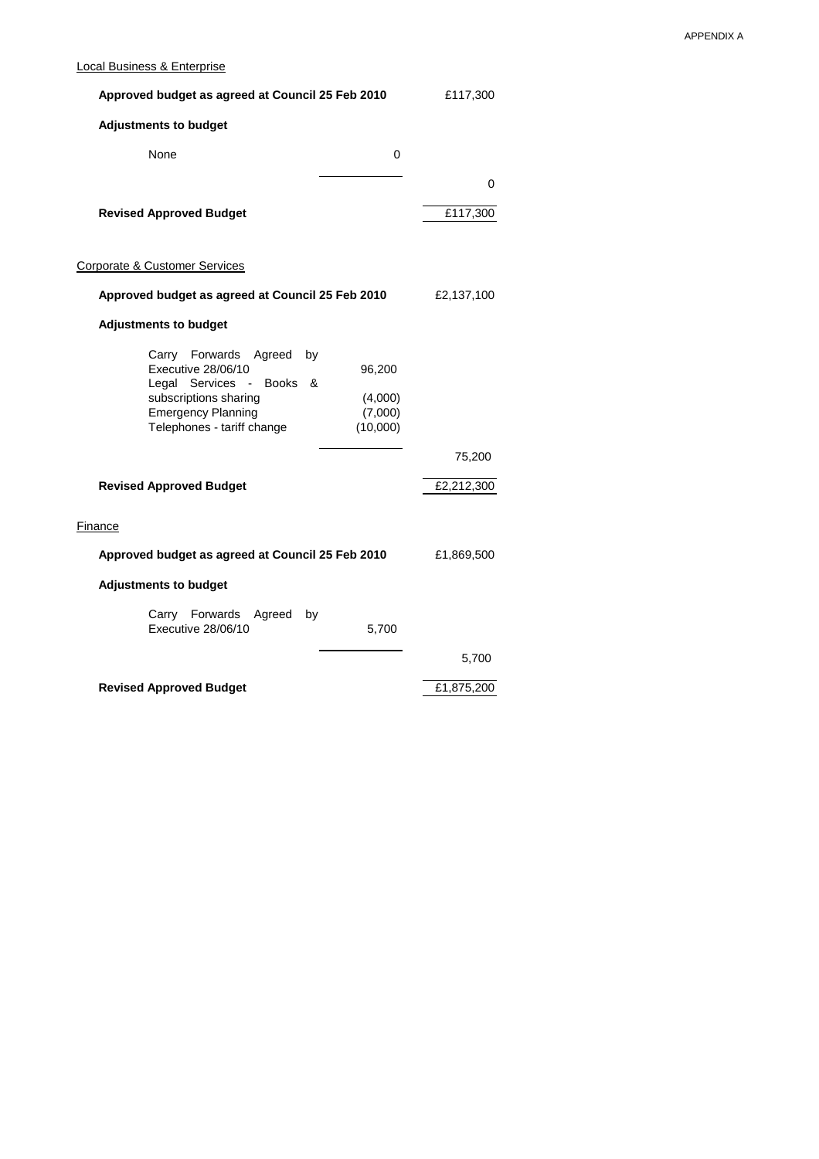## Local Business & Enterprise

| Approved budget as agreed at Council 25 Feb 2010                                                                                                                                                                                             | £117,300   |
|----------------------------------------------------------------------------------------------------------------------------------------------------------------------------------------------------------------------------------------------|------------|
| <b>Adjustments to budget</b>                                                                                                                                                                                                                 |            |
| None<br>0                                                                                                                                                                                                                                    |            |
|                                                                                                                                                                                                                                              | 0          |
| <b>Revised Approved Budget</b>                                                                                                                                                                                                               | £117,300   |
| Corporate & Customer Services                                                                                                                                                                                                                |            |
| Approved budget as agreed at Council 25 Feb 2010                                                                                                                                                                                             | £2,137,100 |
| <b>Adjustments to budget</b>                                                                                                                                                                                                                 |            |
| Carry Forwards<br>Agreed<br>by<br>Executive 28/06/10<br>96,200<br>Services<br><b>Books</b><br>&<br>Legal<br>$\sim$ $-$<br>subscriptions sharing<br>(4,000)<br><b>Emergency Planning</b><br>(7,000)<br>Telephones - tariff change<br>(10,000) |            |
|                                                                                                                                                                                                                                              | 75,200     |
| <b>Revised Approved Budget</b>                                                                                                                                                                                                               | £2,212,300 |
| <b>Finance</b>                                                                                                                                                                                                                               |            |
| Approved budget as agreed at Council 25 Feb 2010                                                                                                                                                                                             | £1,869,500 |
| <b>Adjustments to budget</b>                                                                                                                                                                                                                 |            |
| Carry Forwards<br>Agreed<br>by<br>Executive 28/06/10<br>5,700                                                                                                                                                                                |            |
|                                                                                                                                                                                                                                              | 5,700      |
| <b>Revised Approved Budget</b>                                                                                                                                                                                                               | £1,875,200 |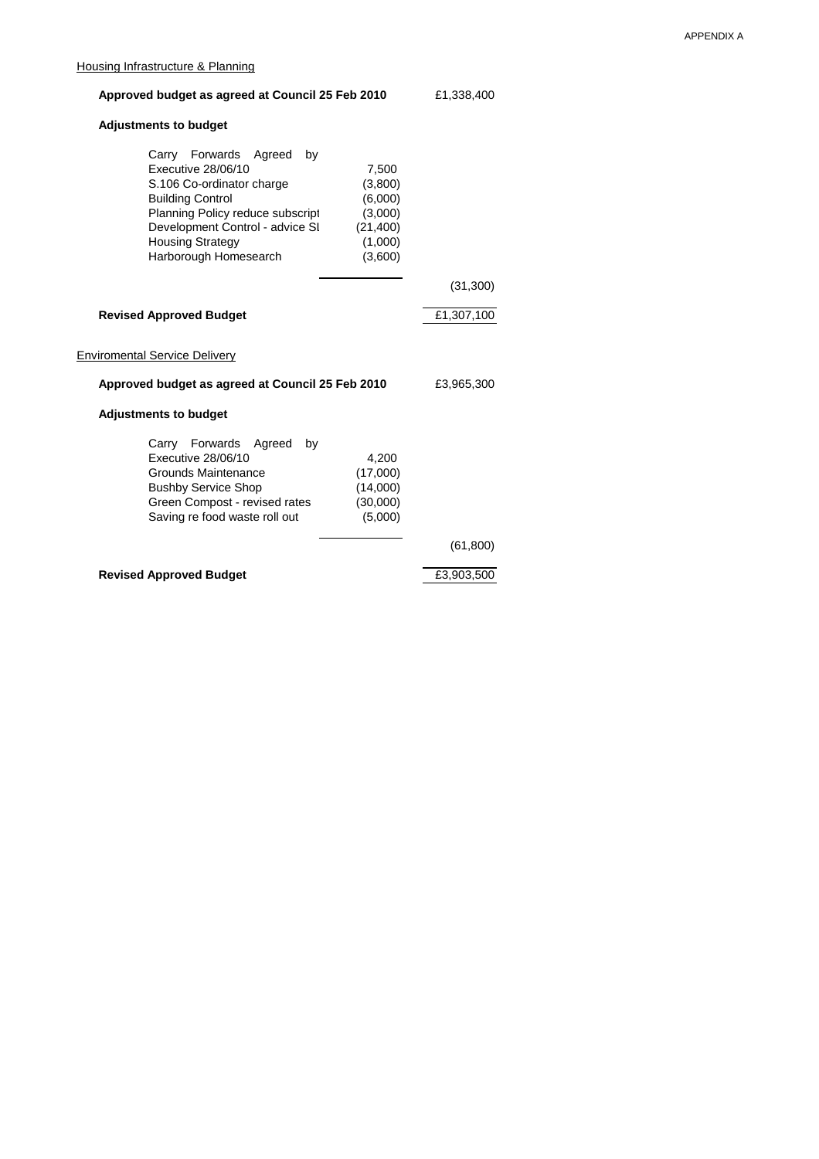|                                                  | Housing Infrastructure & Planning                                                                                                                                                                                              |    |                                                                           |            |  |
|--------------------------------------------------|--------------------------------------------------------------------------------------------------------------------------------------------------------------------------------------------------------------------------------|----|---------------------------------------------------------------------------|------------|--|
| Approved budget as agreed at Council 25 Feb 2010 |                                                                                                                                                                                                                                |    |                                                                           | £1,338,400 |  |
|                                                  | <b>Adjustments to budget</b>                                                                                                                                                                                                   |    |                                                                           |            |  |
|                                                  | Carry Forwards Agreed<br>Executive 28/06/10<br>S.106 Co-ordinator charge<br><b>Building Control</b><br>Planning Policy reduce subscript<br>Development Control - advice SI<br><b>Housing Strategy</b><br>Harborough Homesearch | by | 7,500<br>(3,800)<br>(6,000)<br>(3,000)<br>(21, 400)<br>(1,000)<br>(3,600) |            |  |
|                                                  |                                                                                                                                                                                                                                |    |                                                                           | (31,300)   |  |
|                                                  | <b>Revised Approved Budget</b>                                                                                                                                                                                                 |    |                                                                           | £1,307,100 |  |
|                                                  | <b>Enviromental Service Delivery</b>                                                                                                                                                                                           |    |                                                                           |            |  |
| Approved budget as agreed at Council 25 Feb 2010 |                                                                                                                                                                                                                                |    |                                                                           | £3,965,300 |  |
| <b>Adjustments to budget</b>                     |                                                                                                                                                                                                                                |    |                                                                           |            |  |
|                                                  | Carry Forwards Agreed<br>Executive 28/06/10<br>Grounds Maintenance<br><b>Bushby Service Shop</b>                                                                                                                               | by | 4,200<br>(17,000)<br>(14,000)                                             |            |  |

Green Compost - revised rates (30,000) Saving re food waste roll out (5,000)

**Revised Approved Budget E3,903,500** 

(61,800)